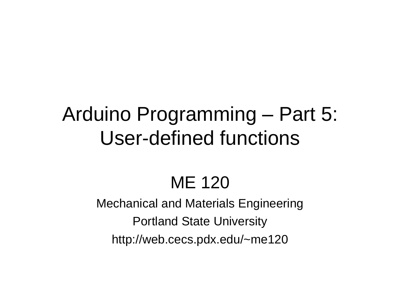# Arduino Programming – Part 5: User-defined functions

## ME 120

Mechanical and Materials Engineering Portland State University http://web.cecs.pdx.edu/~me120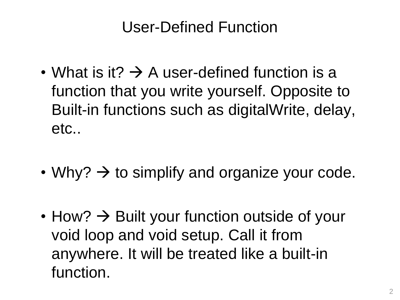#### User-Defined Function

- What is it?  $\rightarrow$  A user-defined function is a function that you write yourself. Opposite to Built-in functions such as digitalWrite, delay, etc..
- Why?  $\rightarrow$  to simplify and organize your code.
- $\cdot$  How?  $\rightarrow$  Built your function outside of your void loop and void setup. Call it from anywhere. It will be treated like a built-in function.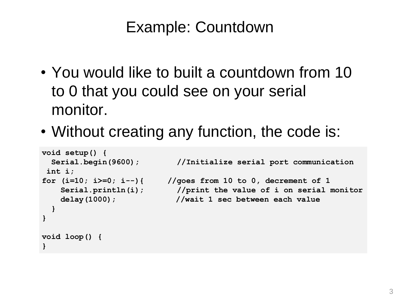- You would like to built a countdown from 10 to 0 that you could see on your serial monitor.
- Without creating any function, the code is:

```
void setup() {
 Serial.begin(9600); //Initialize serial port communication
int i;
for (i=10; i>=0; i--){ //goes from 10 to 0, decrement of 1
   Serial.println(i); //print the value of i on serial monitor
   delay(1000); //wait 1 sec between each value
 }
}
void loop() {
}
```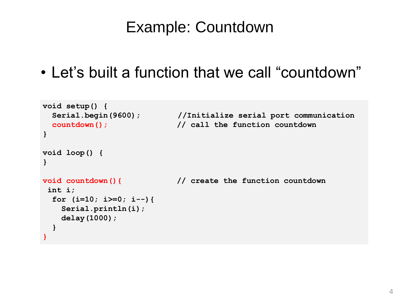• Let's built a function that we call "countdown"

```
void setup() {
 Serial.begin(9600); //Initialize serial port communication
 countdown(); // call the function countdown
}
void loop() {
}
void countdown(){ // create the function countdown
int i;
 for (i=10; i>=0; i--){ 
   Serial.println(i); 
   delay(1000);
 }
}
```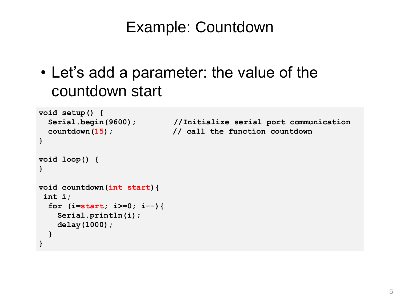• Let's add a parameter: the value of the countdown start

```
void setup() {
  Serial.begin(9600); //Initialize serial port communication
 countdown(15); // call the function countdown
}
void loop() {
}
void countdown(int start){ 
int i;
 for (i=start; i>=0; i--){ 
   Serial.println(i); 
   delay(1000);
  }
}
```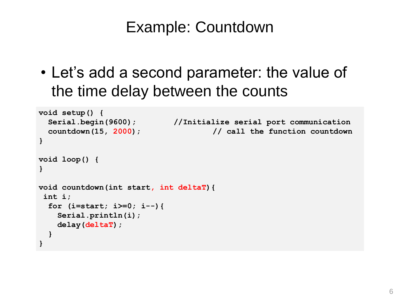• Let's add a second parameter: the value of the time delay between the counts

```
void setup() {
 Serial.begin(9600); //Initialize serial port communication
 countdown(15, 2000); // call the function countdown
}
void loop() {
}
void countdown(int start, int deltaT){ 
int i;
 for (i=start; i>=0; i--){ 
   Serial.println(i); 
   delay(deltaT);
  }
}
```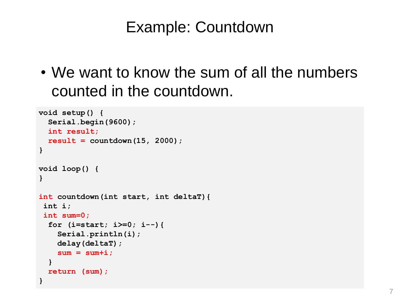• We want to know the sum of all the numbers counted in the countdown.

```
void setup() {
  Serial.begin(9600);
  int result; 
  result = countdown(15, 2000);
}
void loop() {
}
int countdown(int start, int deltaT){ 
 int i;
int sum=0;
  for (i=start; i>=0; i--){ 
    Serial.println(i); 
    delay(deltaT);
    sum = sum+i;
  }
  return (sum);
}
```